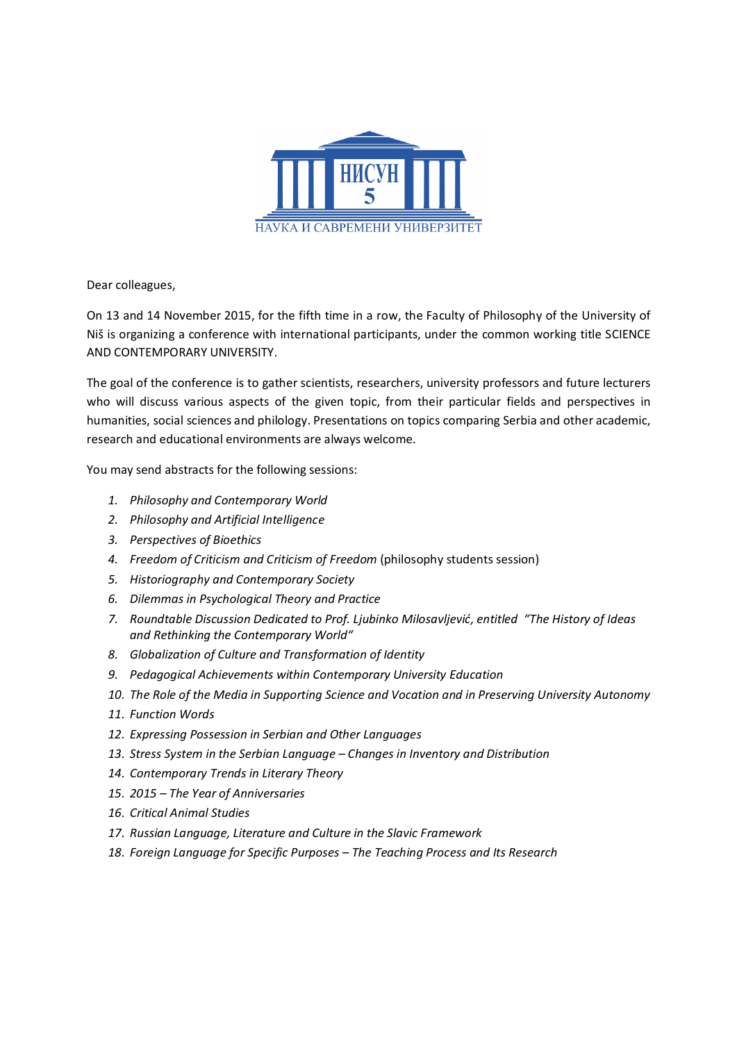

Dear colleagues,

On 13 and 14 November 2015, for the fifth time in a row, the Faculty of Philosophy of the University of Niš is organizing a conference with international participants, under the common working title SCIENCE AND CONTEMPORARY UNIVERSITY.

The goal of the conference is to gather scientists, researchers, university professors and future lecturers who will discuss various aspects of the given topic, from their particular fields and perspectives in humanities, social sciences and philology. Presentations on topics comparing Serbia and other academic, research and educational environments are always welcome.

You may send abstracts for the following sessions:

- *1. Philosophy and Contemporary World*
- *2. Philosophy and Artificial Intelligence*
- *3. Perspectives of Bioethics*
- *4. Freedom of Criticism and Criticism of Freedom* (philosophy students session)
- *5. Historiography and Contemporary Society*
- *6. Dilemmas in Psychological Theory and Practice*
- *7. Roundtable Discussion Dedicated to Prof. Ljubinko Milosavljević, entitled "The History of Ideas and Rethinking the Contemporary World"*
- *8. Globalization of Culture and Transformation of Identity*
- *9. Pedagogical Achievements within Contemporary University Education*
- *10. The Role of the Media in Supporting Science and Vocation and in Preserving University Autonomy*
- *11. Function Words*
- *12. Expressing Possession in Serbian and Other Languages*
- *13. Stress System in the Serbian Language – Changes in Inventory and Distribution*
- *14. Contemporary Trends in Literary Theory*
- *15. 2015 – The Year of Anniversaries*
- *16. Critical Animal Studies*
- *17. Russian Language, Literature and Culture in the Slavic Framework*
- *18. Foreign Language for Specific Purposes – The Teaching Process and Its Research*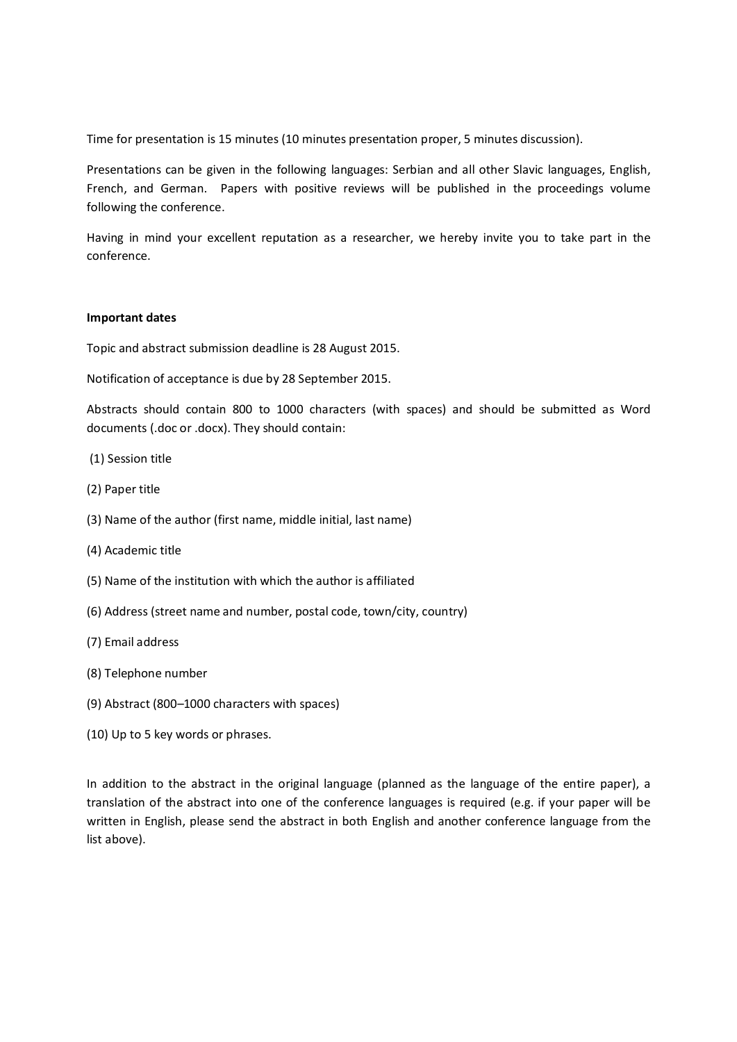Time for presentation is 15 minutes (10 minutes presentation proper, 5 minutes discussion).

Presentations can be given in the following languages: Serbian and all other Slavic languages, English, French, and German. Papers with positive reviews will be published in the proceedings volume following the conference.

Having in mind your excellent reputation as a researcher, we hereby invite you to take part in the conference.

## **Important dates**

Topic and abstract submission deadline is 28 August 2015.

Notification of acceptance is due by 28 September 2015.

Abstracts should contain 800 to 1000 characters (with spaces) and should be submitted as Word documents (.doc or .docx). They should contain:

- (1) Session title
- (2) Paper title
- (3) Name of the author (first name, middle initial, last name)
- (4) Academic title
- (5) Name of the institution with which the author is affiliated
- (6) Address (street name and number, postal code, town/city, country)
- (7) Email address
- (8) Telephone number
- (9) Abstract (800–1000 characters with spaces)
- (10) Up to 5 key words or phrases.

In addition to the abstract in the original language (planned as the language of the entire paper), a translation of the abstract into one of the conference languages is required (e.g. if your paper will be written in English, please send the abstract in both English and another conference language from the list above).